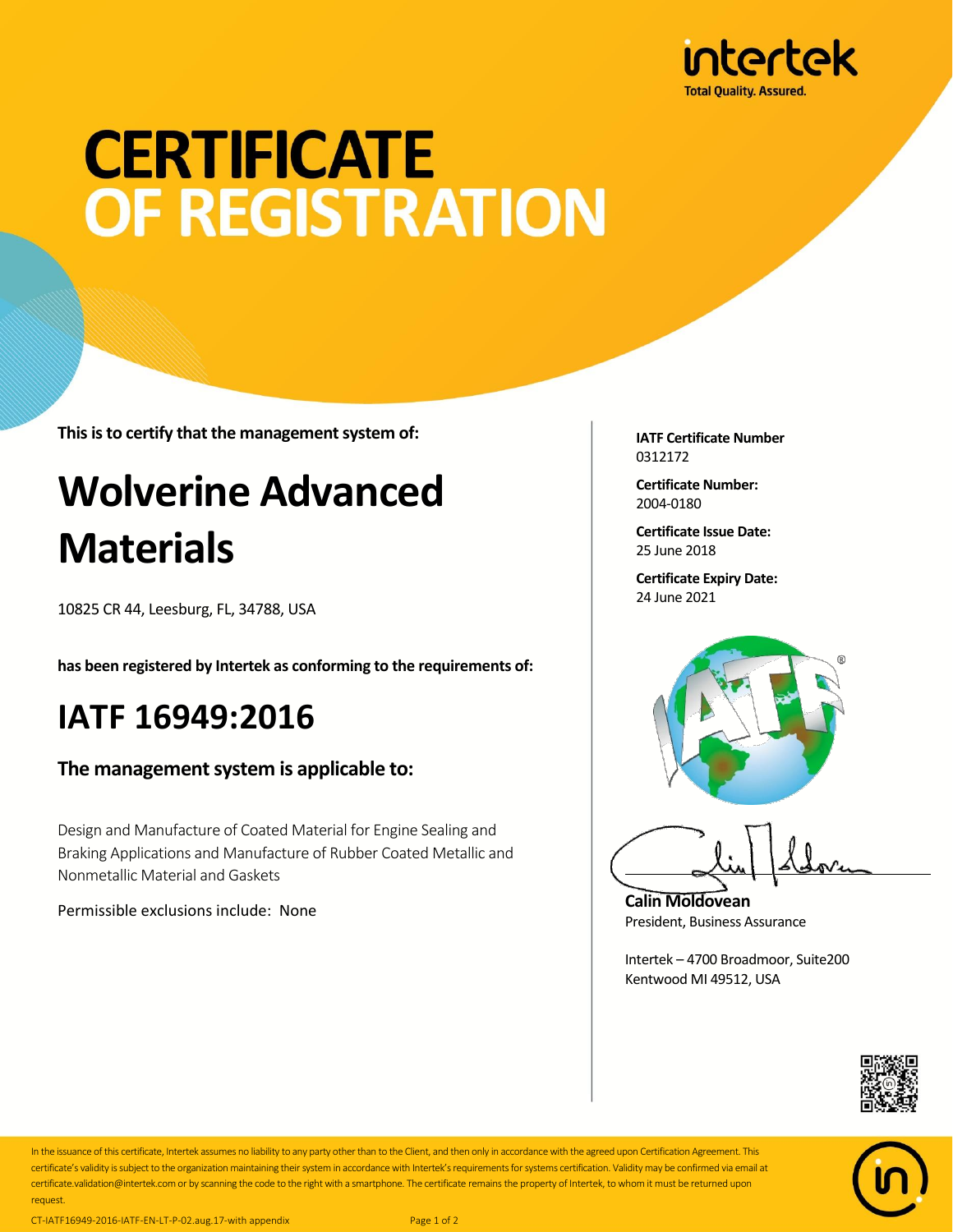

# **CERTIFICATE OF REGISTRATION**

**This is to certify that the management system of:**

### **Wolverine Advanced Materials**

10825 CR 44, Leesburg, FL, 34788, USA

**has been registered by Intertek as conforming to the requirements of:**

#### **IATF 16949:2016**

**The management system is applicable to:**

Design and Manufacture of Coated Material for Engine Sealing and Braking Applications and Manufacture of Rubber Coated Metallic and Nonmetallic Material and Gaskets

Permissible exclusions include: None

**IATF Certificate Number** 0312172

**Certificate Number:** 2004-0180

**Certificate Issue Date:** 25 June 2018

**Certificate Expiry Date:** 24 June 2021



**Calin Moldovean** President, Business Assurance

Intertek – 4700 Broadmoor, Suite200 Kentwood MI 49512, USA





In the issuance of this certificate, Intertek assumes no liability to any party other than to the Client, and then only in accordance with the agreed upon Certification Agreement. This certificate's validity is subject to the organization maintaining their system in accordance with Intertek's requirements for systems certification. Validity may be confirmed via email at certificate.validation@intertek.com or by scanning the code to the right with a smartphone. The certificate remains the property of Intertek, to whom it must be returned upon request.

CT-IATF16949-2016-IATF-EN-LT-P-02.aug.17-with appendix Page 1 of 2